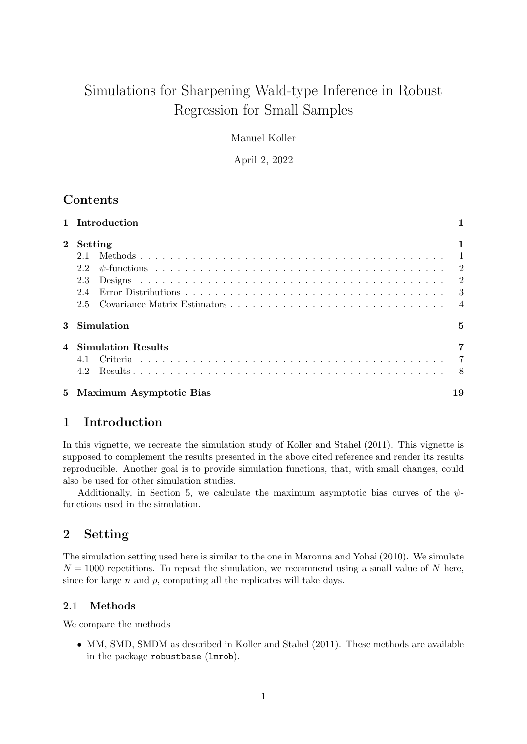# Simulations for Sharpening Wald-type Inference in Robust Regression for Small Samples

Manuel Koller

April 2, 2022

# Contents

|              | 1 Introduction            |    |
|--------------|---------------------------|----|
| $\mathbf{2}$ | Setting                   |    |
|              | 2.1                       |    |
|              | 2.2                       |    |
|              | 2.3                       |    |
|              | 2.4                       |    |
|              |                           |    |
|              | 3 Simulation              | 5  |
|              | 4 Simulation Results      |    |
|              |                           |    |
|              |                           |    |
|              | 5 Maximum Asymptotic Bias | 19 |

# 1 Introduction

In this vignette, we recreate the simulation study of Koller and Stahel (2011). This vignette is supposed to complement the results presented in the above cited reference and render its results reproducible. Another goal is to provide simulation functions, that, with small changes, could also be used for other simulation studies.

Additionally, in Section 5, we calculate the maximum asymptotic bias curves of the  $\psi$ functions used in the simulation.

# 2 Setting

The simulation setting used here is similar to the one in Maronna and Yohai (2010). We simulate  $N = 1000$  repetitions. To repeat the simulation, we recommend using a small value of N here, since for large  $n$  and  $p$ , computing all the replicates will take days.

### 2.1 Methods

We compare the methods

• MM, SMD, SMDM as described in Koller and Stahel (2011). These methods are available in the package robustbase (lmrob).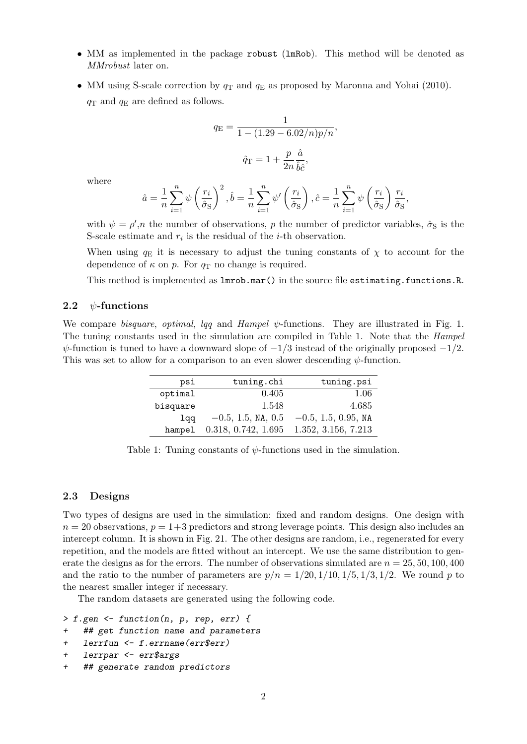- MM as implemented in the package robust (lmRob). This method will be denoted as MMrobust later on.
- MM using S-scale correction by  $q_T$  and  $q_E$  as proposed by Maronna and Yohai (2010).  $q_T$  and  $q_E$  are defined as follows.

$$
q_{\rm E} = \frac{1}{1 - (1.29 - 6.02/n)p/n},
$$

$$
\hat{q}_{\rm T} = 1 + \frac{p}{2n} \frac{\hat{a}}{\hat{b}\hat{c}},
$$

where

$$
\hat{a} = \frac{1}{n} \sum_{i=1}^{n} \psi\left(\frac{r_i}{\hat{\sigma}_{\rm S}}\right)^2, \hat{b} = \frac{1}{n} \sum_{i=1}^{n} \psi'\left(\frac{r_i}{\hat{\sigma}_{\rm S}}\right), \hat{c} = \frac{1}{n} \sum_{i=1}^{n} \psi\left(\frac{r_i}{\hat{\sigma}_{\rm S}}\right) \frac{r_i}{\hat{\sigma}_{\rm S}},
$$

with  $\psi = \rho'$ , the number of observations, p the number of predictor variables,  $\hat{\sigma}_{S}$  is the S-scale estimate and  $r_i$  is the residual of the *i*-th observation.

When using  $q_E$  it is necessary to adjust the tuning constants of  $\chi$  to account for the dependence of  $\kappa$  on p. For  $q_T$  no change is required.

This method is implemented as lmrob.mar() in the source file estimating.functions.R.

### 2.2  $\psi$ -functions

We compare bisquare, optimal, lqq and Hampel  $\psi$ -functions. They are illustrated in Fig. 1. The tuning constants used in the simulation are compiled in Table 1. Note that the Hampel  $\psi$ -function is tuned to have a downward slope of  $-1/3$  instead of the originally proposed  $-1/2$ . This was set to allow for a comparison to an even slower descending  $\psi$ -function.

| psi      | tuning.chi           | tuning.psi            |
|----------|----------------------|-----------------------|
| optimal  | 0.405                | 1.06                  |
| bisquare | 1.548                | 4.685                 |
| laa      | $-0.5, 1.5, NA, 0.5$ | $-0.5, 1.5, 0.95, NA$ |
| hampel   | 0.318, 0.742, 1.695  | 1.352, 3.156, 7.213   |

Table 1: Tuning constants of  $\psi$ -functions used in the simulation.

### 2.3 Designs

Two types of designs are used in the simulation: fixed and random designs. One design with  $n = 20$  observations,  $p = 1+3$  predictors and strong leverage points. This design also includes an intercept column. It is shown in Fig. 21. The other designs are random, i.e., regenerated for every repetition, and the models are fitted without an intercept. We use the same distribution to generate the designs as for the errors. The number of observations simulated are  $n = 25, 50, 100, 400$ and the ratio to the number of parameters are  $p/n = 1/20, 1/10, 1/5, 1/3, 1/2$ . We round p to the nearest smaller integer if necessary.

The random datasets are generated using the following code.

```
> f.gen <- function(n, p, rep, err) {
```
- *+ ## get function name and parameters*
- *+ lerrfun <- f.errname(err\$err)*
- *+ lerrpar <- err\$args*
- *+ ## generate random predictors*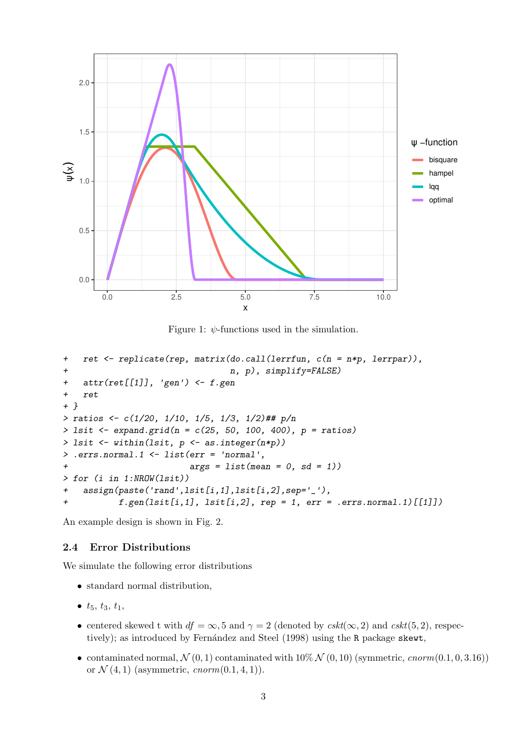

Figure 1:  $\psi$ -functions used in the simulation.

```
+ ret <- replicate(rep, matrix(do.call(lerrfun, c(n = n*p, lerrpar)),
+ n, p), simplify=FALSE)
+ attr(ret[[1]], 'gen') <- f.gen
+ ret
+ }
> ratios <- c(1/20, 1/10, 1/5, 1/3, 1/2)## p/n
> lsit <- expand.grid(n = c(25, 50, 100, 400), p = ratios)
> lsit <- within(lsit, p <- as.integer(n*p))
> .errs.normal.1 <- list(err = 'normal',
+ args = list(mean = 0, sd = 1))
> for (i in 1:NROW(lsit))
+ assign(paste('rand',lsit[i,1],lsit[i,2],sep='_'),
+ f.gen(lsit[i,1], lsit[i,2], rep = 1, err = .errs.normal.1)[[1]])
```
An example design is shown in Fig. 2.

### 2.4 Error Distributions

We simulate the following error distributions

- standard normal distribution,
- $t_5, t_3, t_1,$
- centered skewed t with  $df = \infty$ , 5 and  $\gamma = 2$  (denoted by  $cskt(\infty, 2)$  and  $cskt(5, 2)$ , respectively); as introduced by Fernández and Steel (1998) using the R package skewt,
- contaminated normal,  $\mathcal{N}(0, 1)$  contaminated with  $10\% \mathcal{N}(0, 10)$  (symmetric, cnorm $(0.1, 0, 3.16)$ ) or  $\mathcal{N}(4,1)$  (asymmetric, cnorm $(0.1, 4, 1)$ ).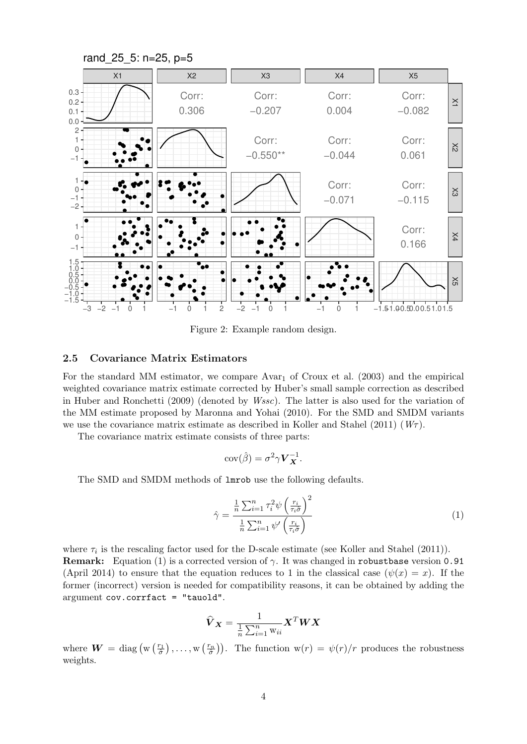

Figure 2: Example random design.

#### 2.5 Covariance Matrix Estimators

For the standard MM estimator, we compare  $Avar_1$  of Croux et al. (2003) and the empirical weighted covariance matrix estimate corrected by Huber's small sample correction as described in Huber and Ronchetti (2009) (denoted by Wssc). The latter is also used for the variation of the MM estimate proposed by Maronna and Yohai (2010). For the SMD and SMDM variants we use the covariance matrix estimate as described in Koller and Stahel (2011)  $(W<sub>\tau</sub>)$ .

The covariance matrix estimate consists of three parts:

$$
cov(\hat{\beta}) = \sigma^2 \gamma \mathbf{V}_{\mathbf{X}}^{-1}.
$$

The SMD and SMDM methods of lmrob use the following defaults.

$$
\hat{\gamma} = \frac{\frac{1}{n} \sum_{i=1}^{n} \tau_i^2 \psi \left(\frac{r_i}{\tau_i \hat{\sigma}}\right)^2}{\frac{1}{n} \sum_{i=1}^{n} \psi' \left(\frac{r_i}{\tau_i \hat{\sigma}}\right)}
$$
(1)

where  $\tau_i$  is the rescaling factor used for the D-scale estimate (see Koller and Stahel (2011)). **Remark:** Equation (1) is a corrected version of  $\gamma$ . It was changed in robustbase version 0.91 (April 2014) to ensure that the equation reduces to 1 in the classical case  $(\psi(x) = x)$ . If the former (incorrect) version is needed for compatibility reasons, it can be obtained by adding the argument cov.corrfact = "tauold".

$$
\widehat{\boldsymbol{V}}_{\boldsymbol{X}} = \frac{1}{\frac{1}{n}\sum_{i=1}^{n} \mathtt{w}_{ii}} \boldsymbol{X}^T \boldsymbol{W} \boldsymbol{X}
$$

where  $W = \text{diag}(w(\frac{r_1}{\hat{\sigma}}), \dots, w(\frac{r_n}{\hat{\sigma}}))$ . The function  $w(r) = \psi(r)/r$  produces the robustness weights.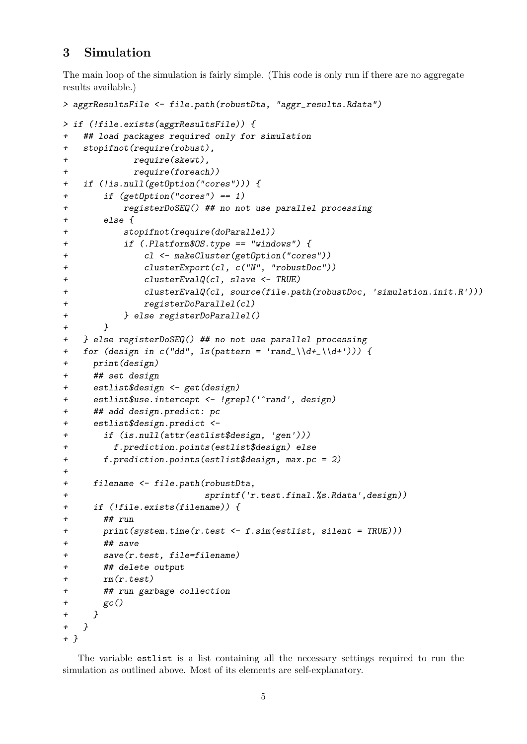# 3 Simulation

The main loop of the simulation is fairly simple. (This code is only run if there are no aggregate results available.)

```
> aggrResultsFile <- file.path(robustDta, "aggr_results.Rdata")
> if (!file.exists(aggrResultsFile)) {
+ ## load packages required only for simulation
+ stopifnot(require(robust),
+ require(skewt),
+ require(foreach))
+ if (!is.null(getOption("cores"))) {
+ if (getOption("cores") == 1)
+ registerDoSEQ() ## no not use parallel processing
+ else {
+ stopifnot(require(doParallel))
+ if (.Platform$OS.type == "windows") {
+ cl <- makeCluster(getOption("cores"))
+ clusterExport(cl, c("N", "robustDoc"))
+ clusterEvalQ(cl, slave <- TRUE)
+ clusterEvalQ(cl, source(file.path(robustDoc, 'simulation.init.R')))
+ registerDoParallel(cl)
+ } else registerDoParallel()
+ }
+ } else registerDoSEQ() ## no not use parallel processing
+ for (design in c("dd", ls(pattern = 'rand_\\d+_\\d+'))) {
+ print(design)
+ ## set design
+ estlist$design <- get(design)
+ estlist$use.intercept <- !grepl('^rand', design)
+ ## add design.predict: pc
+ estlist$design.predict <-
+ if (is.null(attr(estlist$design, 'gen')))
+ f.prediction.points(estlist$design) else
+ f.prediction.points(estlist$design, max.pc = 2)
+
+ filename <- file.path(robustDta,
+ sprintf('r.test.final.%s.Rdata',design))
+ if (!file.exists(filename)) {
+ ## run
+ print(system.time(r.test <- f.sim(estlist, silent = TRUE)))
+ ## save
+ save(r.test, file=filename)
+ ## delete output
+ rm(r.test)
+ ## run garbage collection
+ gc()
+ }
+ }
+ }
```
The variable estlist is a list containing all the necessary settings required to run the simulation as outlined above. Most of its elements are self-explanatory.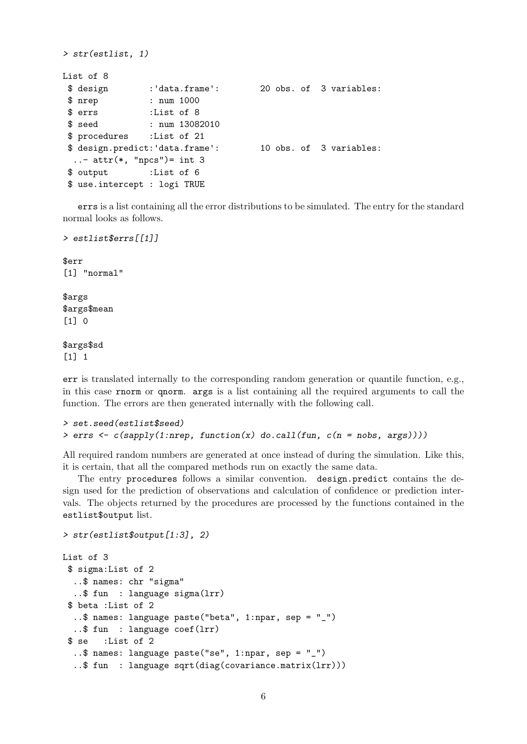```
> str(estlist, 1)
List of 8
 $ design :'data.frame': 20 obs. of 3 variables:
 $ nrep : num 1000
 $ errs :List of 8
 $ seed : num 13082010
 $ procedures :List of 21
 $ design.predict:'data.frame': 10 obs. of 3 variables:
 \ldots attr(*, "npcs")= int 3
 $ output :List of 6
 $ use.intercept : logi TRUE
```
errs is a list containing all the error distributions to be simulated. The entry for the standard normal looks as follows.

*> estlist\$errs[[1]]*

\$err [1] "normal"

### \$args \$args\$mean [1] 0

#### \$args\$sd [1] 1

err is translated internally to the corresponding random generation or quantile function, e.g., in this case rnorm or qnorm. args is a list containing all the required arguments to call the function. The errors are then generated internally with the following call.

```
> set.seed(estlist$seed)
> errs <- c(sapply(1:nrep, function(x) do.call(fun, c(n = nobs, args))))
```
All required random numbers are generated at once instead of during the simulation. Like this, it is certain, that all the compared methods run on exactly the same data.

The entry procedures follows a similar convention. design.predict contains the design used for the prediction of observations and calculation of confidence or prediction intervals. The objects returned by the procedures are processed by the functions contained in the estlist\$output list.

```
List of 3
 $ sigma:List of 2
  ..$ names: chr "sigma"
  ..$ fun : language sigma(lrr)
 $ beta :List of 2
  ..$ names: language paste("beta", 1:npar, sep = "_")
  ..$ fun : language coef(lrr)
 $ se :List of 2
  ..$ names: language paste("se", 1:npar, sep = "_")
  ..$ fun : language sqrt(diag(covariance.matrix(lrr)))
```
*> str(estlist\$output[1:3], 2)*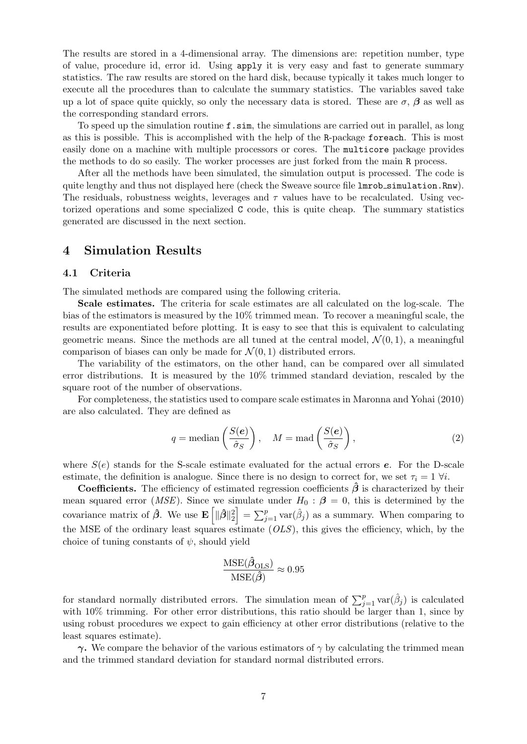The results are stored in a 4-dimensional array. The dimensions are: repetition number, type of value, procedure id, error id. Using apply it is very easy and fast to generate summary statistics. The raw results are stored on the hard disk, because typically it takes much longer to execute all the procedures than to calculate the summary statistics. The variables saved take up a lot of space quite quickly, so only the necessary data is stored. These are  $\sigma$ ,  $\beta$  as well as the corresponding standard errors.

To speed up the simulation routine f.sim, the simulations are carried out in parallel, as long as this is possible. This is accomplished with the help of the R-package foreach. This is most easily done on a machine with multiple processors or cores. The multicore package provides the methods to do so easily. The worker processes are just forked from the main R process.

After all the methods have been simulated, the simulation output is processed. The code is quite lengthy and thus not displayed here (check the Sweave source file lmrob\_simulation.Rnw). The residuals, robustness weights, leverages and  $\tau$  values have to be recalculated. Using vectorized operations and some specialized C code, this is quite cheap. The summary statistics generated are discussed in the next section.

### 4 Simulation Results

#### 4.1 Criteria

The simulated methods are compared using the following criteria.

Scale estimates. The criteria for scale estimates are all calculated on the log-scale. The bias of the estimators is measured by the 10% trimmed mean. To recover a meaningful scale, the results are exponentiated before plotting. It is easy to see that this is equivalent to calculating geometric means. Since the methods are all tuned at the central model,  $\mathcal{N}(0, 1)$ , a meaningful comparison of biases can only be made for  $\mathcal{N}(0,1)$  distributed errors.

The variability of the estimators, on the other hand, can be compared over all simulated error distributions. It is measured by the 10% trimmed standard deviation, rescaled by the square root of the number of observations.

For completeness, the statistics used to compare scale estimates in Maronna and Yohai (2010) are also calculated. They are defined as

$$
q = \text{median}\left(\frac{S(e)}{\hat{\sigma}_S}\right), \quad M = \text{mad}\left(\frac{S(e)}{\hat{\sigma}_S}\right),\tag{2}
$$

where  $S(e)$  stands for the S-scale estimate evaluated for the actual errors  $e$ . For the D-scale estimate, the definition is analogue. Since there is no design to correct for, we set  $\tau_i = 1 \; \forall i$ .

**Coefficients.** The efficiency of estimated regression coefficients  $\hat{\beta}$  is characterized by their mean squared error (*MSE*). Since we simulate under  $H_0$  :  $\beta = 0$ , this is determined by the covariance matrix of  $\hat{\beta}$ . We use  $\mathbf{E}\left[\|\hat{\beta}\|_2^2\right] = \sum_{j=1}^p \text{var}(\hat{\beta}_j)$  as a summary. When comparing to the MSE of the ordinary least squares estimate  $(OLS)$ , this gives the efficiency, which, by the choice of tuning constants of  $\psi$ , should yield

$$
\frac{\text{MSE}(\hat{\beta}_{\text{OLS}})}{\text{MSE}(\hat{\beta})} \approx 0.95
$$

for standard normally distributed errors. The simulation mean of  $\sum_{j=1}^{p} \text{var}(\hat{\beta}_j)$  is calculated with  $10\%$  trimming. For other error distributions, this ratio should be larger than 1, since by using robust procedures we expect to gain efficiency at other error distributions (relative to the least squares estimate).

γ. We compare the behavior of the various estimators of  $γ$  by calculating the trimmed mean and the trimmed standard deviation for standard normal distributed errors.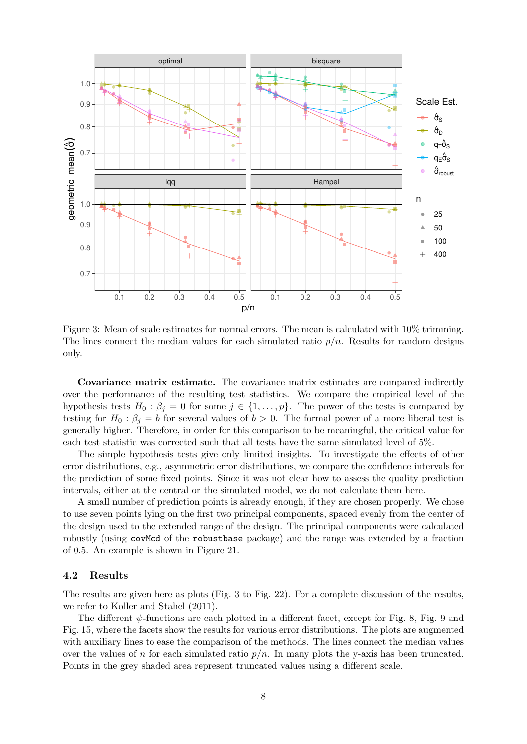

Figure 3: Mean of scale estimates for normal errors. The mean is calculated with 10% trimming. The lines connect the median values for each simulated ratio  $p/n$ . Results for random designs only.

Covariance matrix estimate. The covariance matrix estimates are compared indirectly over the performance of the resulting test statistics. We compare the empirical level of the hypothesis tests  $H_0: \beta_j = 0$  for some  $j \in \{1, ..., p\}$ . The power of the tests is compared by testing for  $H_0: \beta_j = b$  for several values of  $b > 0$ . The formal power of a more liberal test is generally higher. Therefore, in order for this comparison to be meaningful, the critical value for each test statistic was corrected such that all tests have the same simulated level of 5%.

The simple hypothesis tests give only limited insights. To investigate the effects of other error distributions, e.g., asymmetric error distributions, we compare the confidence intervals for the prediction of some fixed points. Since it was not clear how to assess the quality prediction intervals, either at the central or the simulated model, we do not calculate them here.

A small number of prediction points is already enough, if they are chosen properly. We chose to use seven points lying on the first two principal components, spaced evenly from the center of the design used to the extended range of the design. The principal components were calculated robustly (using covMcd of the robustbase package) and the range was extended by a fraction of 0.5. An example is shown in Figure 21.

### 4.2 Results

The results are given here as plots (Fig. 3 to Fig. 22). For a complete discussion of the results, we refer to Koller and Stahel (2011).

The different  $\psi$ -functions are each plotted in a different facet, except for Fig. 8, Fig. 9 and Fig. 15, where the facets show the results for various error distributions. The plots are augmented with auxiliary lines to ease the comparison of the methods. The lines connect the median values over the values of n for each simulated ratio  $p/n$ . In many plots the y-axis has been truncated. Points in the grey shaded area represent truncated values using a different scale.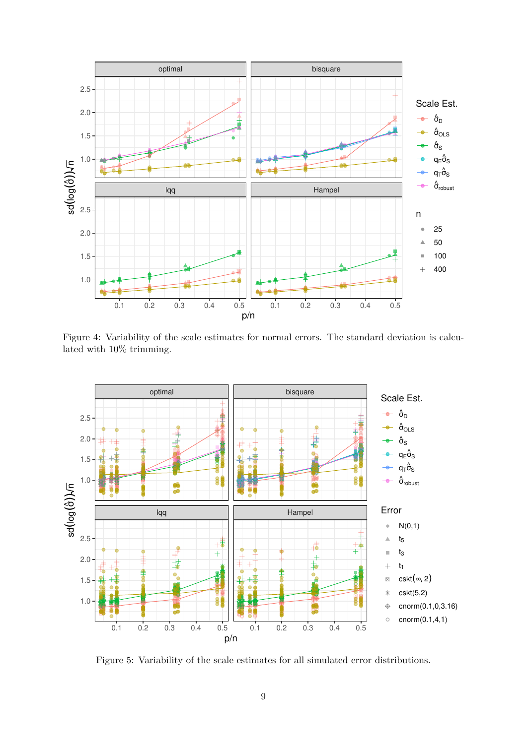

Figure 4: Variability of the scale estimates for normal errors. The standard deviation is calculated with 10% trimming.



Figure 5: Variability of the scale estimates for all simulated error distributions.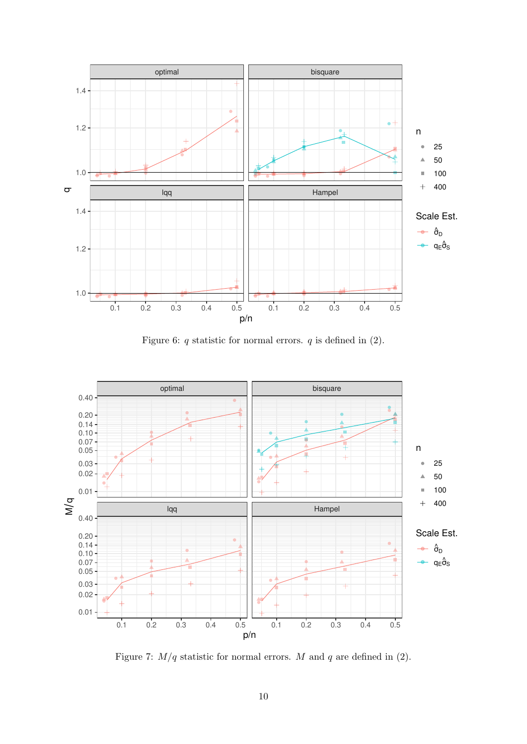

Figure 6:  $q$  statistic for normal errors.  $q$  is defined in  $(2)$ .



Figure 7:  $M/q$  statistic for normal errors. M and q are defined in (2).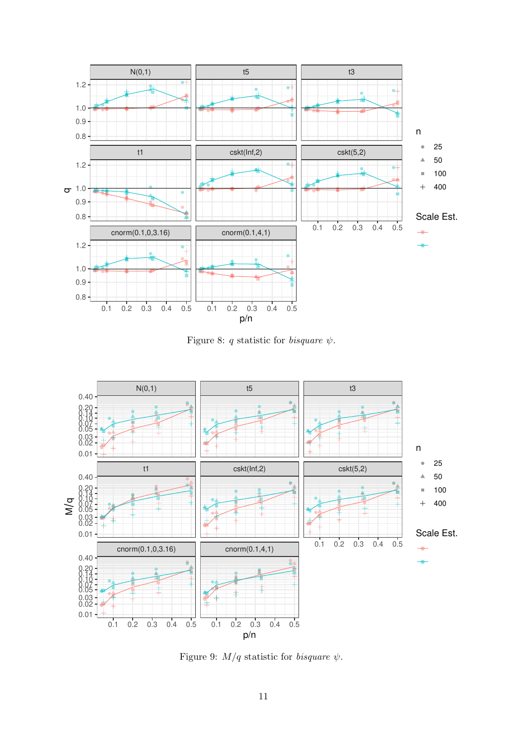

Figure 8: q statistic for *bisquare*  $\psi$ .



Figure 9:  $M/q$  statistic for *bisquare*  $\psi$ .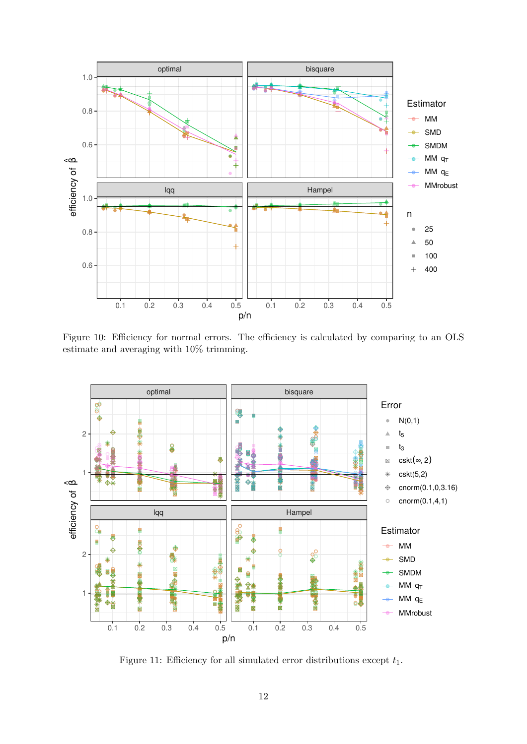

Figure 10: Efficiency for normal errors. The efficiency is calculated by comparing to an OLS estimate and averaging with 10% trimming.



Figure 11: Efficiency for all simulated error distributions except  $t_1$ .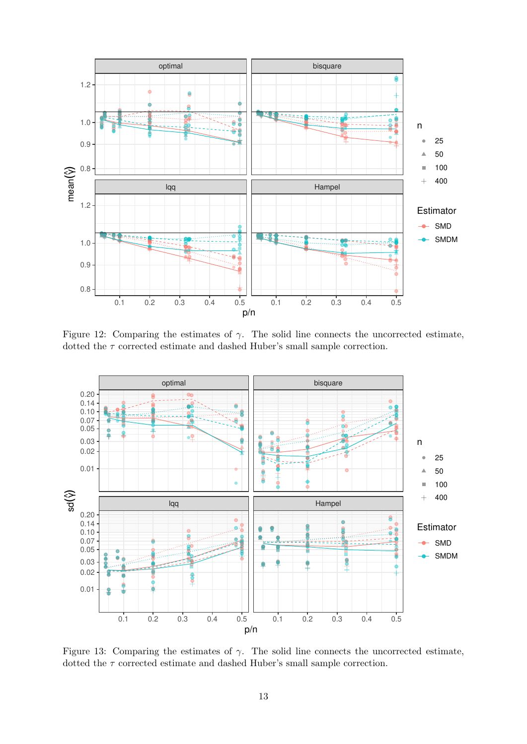

Figure 12: Comparing the estimates of  $\gamma$ . The solid line connects the uncorrected estimate, dotted the  $\tau$  corrected estimate and dashed Huber's small sample correction.



Figure 13: Comparing the estimates of  $\gamma$ . The solid line connects the uncorrected estimate, dotted the  $\tau$  corrected estimate and dashed Huber's small sample correction.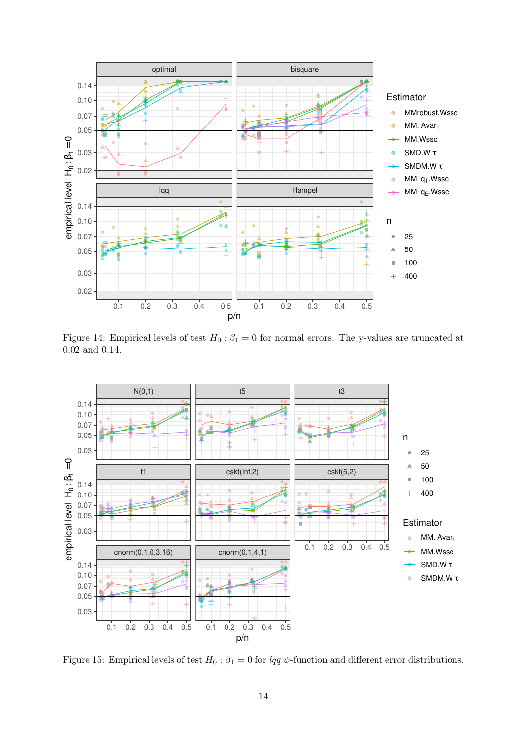

Figure 14: Empirical levels of test  $H_0: \beta_1 = 0$  for normal errors. The y-values are truncated at 0.02 and 0.14.



Figure 15: Empirical levels of test  $H_0$ :  $\beta_1 = 0$  for  $lqq \psi$ -function and different error distributions.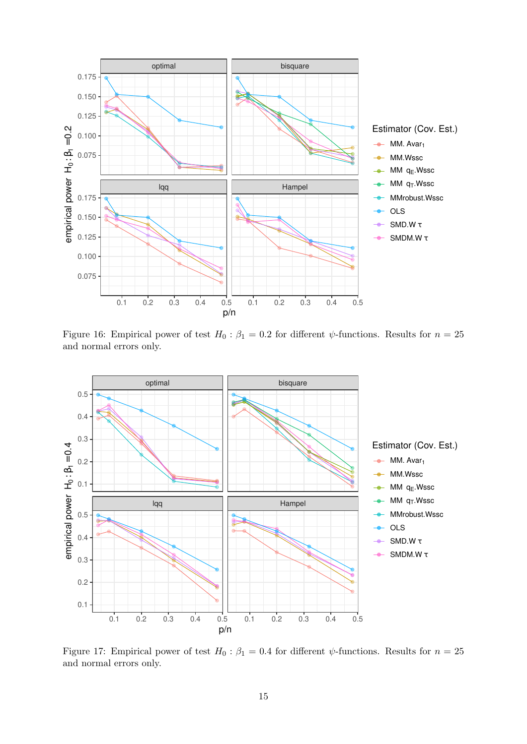

Figure 16: Empirical power of test  $H_0$ :  $\beta_1 = 0.2$  for different  $\psi$ -functions. Results for  $n = 25$ and normal errors only.



Figure 17: Empirical power of test  $H_0$ :  $\beta_1 = 0.4$  for different  $\psi$ -functions. Results for  $n = 25$ and normal errors only.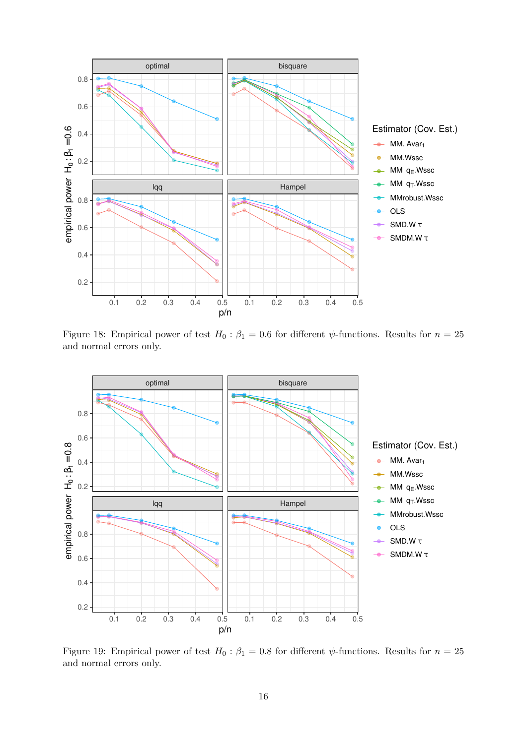

Figure 18: Empirical power of test  $H_0$ :  $\beta_1 = 0.6$  for different  $\psi$ -functions. Results for  $n = 25$ and normal errors only.



Figure 19: Empirical power of test  $H_0$ :  $\beta_1 = 0.8$  for different  $\psi$ -functions. Results for  $n = 25$ and normal errors only.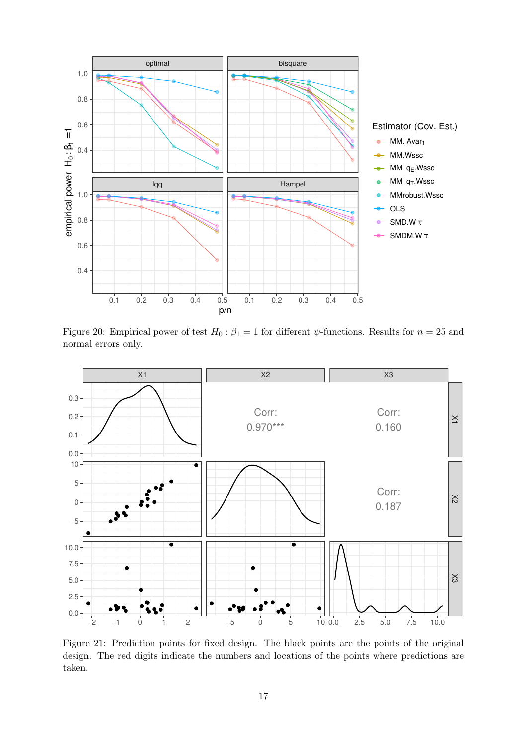

Figure 20: Empirical power of test  $H_0$ :  $\beta_1 = 1$  for different  $\psi$ -functions. Results for  $n = 25$  and normal errors only.



Figure 21: Prediction points for fixed design. The black points are the points of the original design. The red digits indicate the numbers and locations of the points where predictions are taken.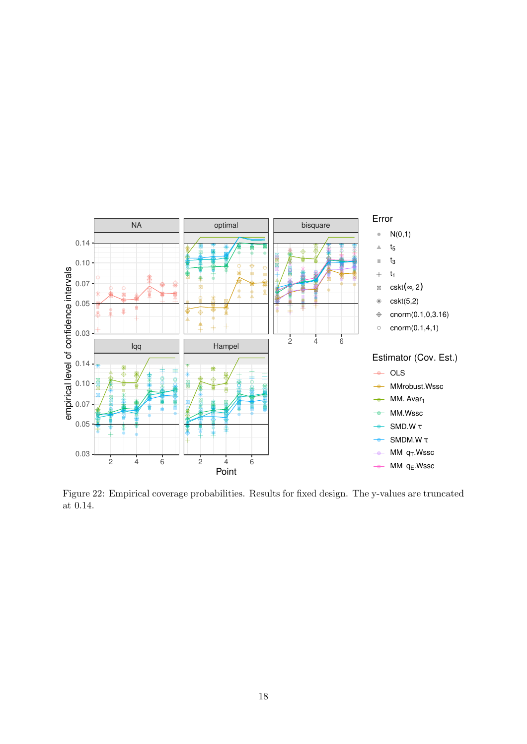

Figure 22: Empirical coverage probabilities. Results for fixed design. The y-values are truncated at 0.14.